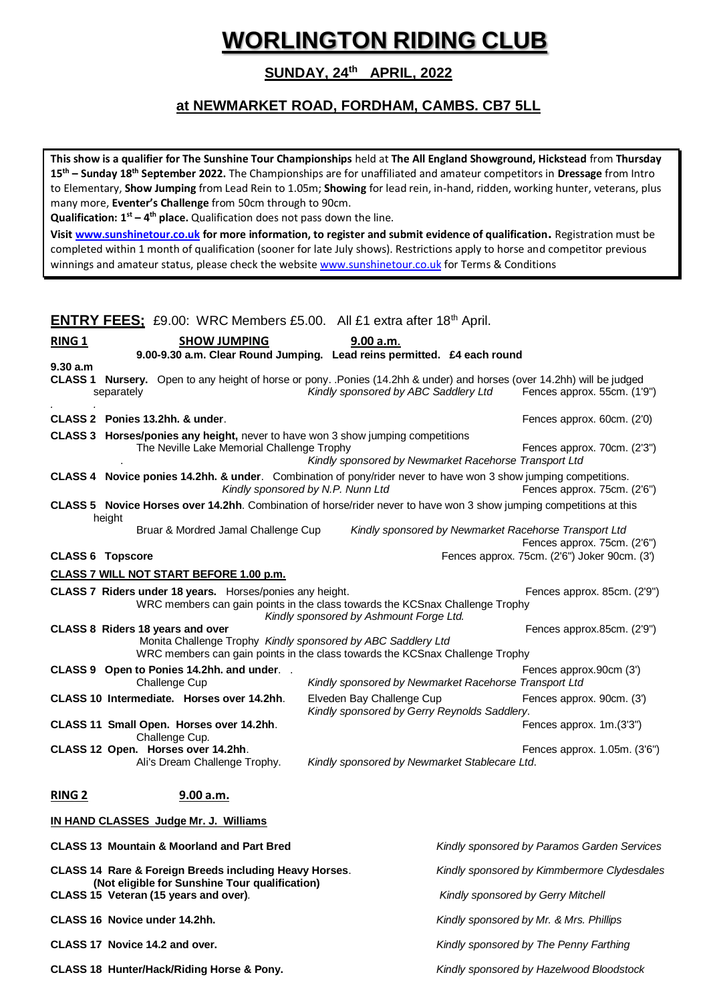# **WORLINGTON RIDING CLUB**

**SUNDAY, 24th APRIL, 2022**

# **at NEWMARKET ROAD, FORDHAM, CAMBS. CB7 5LL**

**This show is a qualifier for The Sunshine Tour Championships** held at **The All England Showground, Hickstead** from **Thursday 15th – Sunday 18th September 2022.** The Championships are for unaffiliated and amateur competitors in **Dressage** from Intro to Elementary, **Show Jumping** from Lead Rein to 1.05m; **Showing** for lead rein, in-hand, ridden, working hunter, veterans, plus many more, **Eventer's Challenge** from 50cm through to 90cm.

**Qualification: 1st – 4 th place.** Qualification does not pass down the line.

**Visit [www.sunshinetour.co.uk](http://www.sunshinetour.co.uk/) for more information, to register and submit evidence of qualification.** Registration must be completed within 1 month of qualification (sooner for late July shows). Restrictions apply to horse and competitor previous winnings and amateur status, please check the websit[e www.sunshinetour.co.uk](http://www.sunshinetour.co.uk/) for Terms & Conditions

|                                                                                         |                                                                                                                                        |               | <b>ENTRY FEES:</b> £9.00: WRC Members £5.00. All £1 extra after 18 <sup>th</sup> April.                                              |  |  |                                             |                                        |                                                                              |  |                                                                                                                                                      |
|-----------------------------------------------------------------------------------------|----------------------------------------------------------------------------------------------------------------------------------------|---------------|--------------------------------------------------------------------------------------------------------------------------------------|--|--|---------------------------------------------|----------------------------------------|------------------------------------------------------------------------------|--|------------------------------------------------------------------------------------------------------------------------------------------------------|
| <b>RING 1</b>                                                                           |                                                                                                                                        |               | <b>SHOW JUMPING</b>                                                                                                                  |  |  | 9.00 a.m.                                   |                                        | 9.00-9.30 a.m. Clear Round Jumping. Lead reins permitted. £4 each round      |  |                                                                                                                                                      |
| 9.30 a.m                                                                                | separately                                                                                                                             |               |                                                                                                                                      |  |  |                                             |                                        | Kindly sponsored by ABC Saddlery Ltd                                         |  | CLASS 1 Nursery. Open to any height of horse or pony. Ponies (14.2hh & under) and horses (over 14.2hh) will be judged<br>Fences approx. 55cm. (1'9") |
| CLASS 2 Ponies 13.2hh. & under.                                                         |                                                                                                                                        |               |                                                                                                                                      |  |  |                                             |                                        |                                                                              |  | Fences approx. 60cm. (2'0)                                                                                                                           |
|                                                                                         |                                                                                                                                        |               | <b>CLASS 3 Horses/ponies any height, never to have won 3 show jumping competitions</b><br>The Neville Lake Memorial Challenge Trophy |  |  |                                             |                                        | Kindly sponsored by Newmarket Racehorse Transport Ltd                        |  | Fences approx. 70cm. (2'3")                                                                                                                          |
|                                                                                         |                                                                                                                                        |               |                                                                                                                                      |  |  | Kindly sponsored by N.P. Nunn Ltd           |                                        |                                                                              |  | CLASS 4 Novice ponies 14.2hh. & under. Combination of pony/rider never to have won 3 show jumping competitions.<br>Fences approx. 75cm. (2'6")       |
|                                                                                         | height                                                                                                                                 |               |                                                                                                                                      |  |  |                                             |                                        |                                                                              |  | CLASS 5 Novice Horses over 14.2hh. Combination of horse/rider never to have won 3 show jumping competitions at this                                  |
|                                                                                         |                                                                                                                                        |               | Bruar & Mordred Jamal Challenge Cup                                                                                                  |  |  |                                             |                                        |                                                                              |  | Kindly sponsored by Newmarket Racehorse Transport Ltd<br>Fences approx. 75cm. (2'6")                                                                 |
| <b>CLASS 6 Topscore</b>                                                                 |                                                                                                                                        |               |                                                                                                                                      |  |  |                                             |                                        |                                                                              |  | Fences approx. 75cm. (2'6") Joker 90cm. (3')                                                                                                         |
|                                                                                         |                                                                                                                                        |               | <b>CLASS 7 WILL NOT START BEFORE 1.00 p.m.</b>                                                                                       |  |  |                                             |                                        |                                                                              |  |                                                                                                                                                      |
|                                                                                         |                                                                                                                                        |               | CLASS 7 Riders under 18 years. Horses/ponies any height.                                                                             |  |  | Kindly sponsored by Ashmount Forge Ltd.     |                                        | WRC members can gain points in the class towards the KCSnax Challenge Trophy |  | Fences approx. 85cm. (2'9")                                                                                                                          |
| CLASS 8 Riders 18 years and over                                                        |                                                                                                                                        |               | Monita Challenge Trophy Kindly sponsored by ABC Saddlery Ltd                                                                         |  |  |                                             |                                        | WRC members can gain points in the class towards the KCSnax Challenge Trophy |  | Fences approx.85cm. (2'9")                                                                                                                           |
|                                                                                         |                                                                                                                                        | Challenge Cup | CLASS 9 Open to Ponies 14.2hh. and under. .                                                                                          |  |  |                                             |                                        | Kindly sponsored by Newmarket Racehorse Transport Ltd                        |  | Fences approx.90cm (3')                                                                                                                              |
|                                                                                         |                                                                                                                                        |               | CLASS 10 Intermediate. Horses over 14.2hh.                                                                                           |  |  | Elveden Bay Challenge Cup                   |                                        | Kindly sponsored by Gerry Reynolds Saddlery.                                 |  | Fences approx. 90cm. (3')                                                                                                                            |
|                                                                                         |                                                                                                                                        |               | CLASS 11 Small Open. Horses over 14.2hh.                                                                                             |  |  |                                             |                                        |                                                                              |  | Fences approx. 1m.(3'3")                                                                                                                             |
|                                                                                         | Challenge Cup.<br>CLASS 12 Open. Horses over 14.2hh.<br>Kindly sponsored by Newmarket Stablecare Ltd.<br>Ali's Dream Challenge Trophy. |               |                                                                                                                                      |  |  | Fences approx. 1.05m. (3'6")                |                                        |                                                                              |  |                                                                                                                                                      |
| <b>RING 2</b>                                                                           |                                                                                                                                        |               | 9.00 a.m.                                                                                                                            |  |  |                                             |                                        |                                                                              |  |                                                                                                                                                      |
|                                                                                         |                                                                                                                                        |               | IN HAND CLASSES Judge Mr. J. Williams                                                                                                |  |  |                                             |                                        |                                                                              |  |                                                                                                                                                      |
|                                                                                         |                                                                                                                                        |               | <b>CLASS 13 Mountain &amp; Moorland and Part Bred</b>                                                                                |  |  |                                             |                                        |                                                                              |  | Kindly sponsored by Paramos Garden Services                                                                                                          |
| <b>CLASS 14 Rare &amp; Foreign Breeds including Heavy Horses.</b>                       |                                                                                                                                        |               |                                                                                                                                      |  |  | Kindly sponsored by Kimmbermore Clydesdales |                                        |                                                                              |  |                                                                                                                                                      |
| (Not eligible for Sunshine Tour qualification)<br>CLASS 15 Veteran (15 years and over). |                                                                                                                                        |               |                                                                                                                                      |  |  | Kindly sponsored by Gerry Mitchell          |                                        |                                                                              |  |                                                                                                                                                      |
| CLASS 16 Novice under 14.2hh.                                                           |                                                                                                                                        |               |                                                                                                                                      |  |  | Kindly sponsored by Mr. & Mrs. Phillips     |                                        |                                                                              |  |                                                                                                                                                      |
|                                                                                         | CLASS 17 Novice 14.2 and over.                                                                                                         |               |                                                                                                                                      |  |  |                                             | Kindly sponsored by The Penny Farthing |                                                                              |  |                                                                                                                                                      |
| CLASS 18 Hunter/Hack/Riding Horse & Pony.                                               |                                                                                                                                        |               |                                                                                                                                      |  |  | Kindly sponsored by Hazelwood Bloodstock    |                                        |                                                                              |  |                                                                                                                                                      |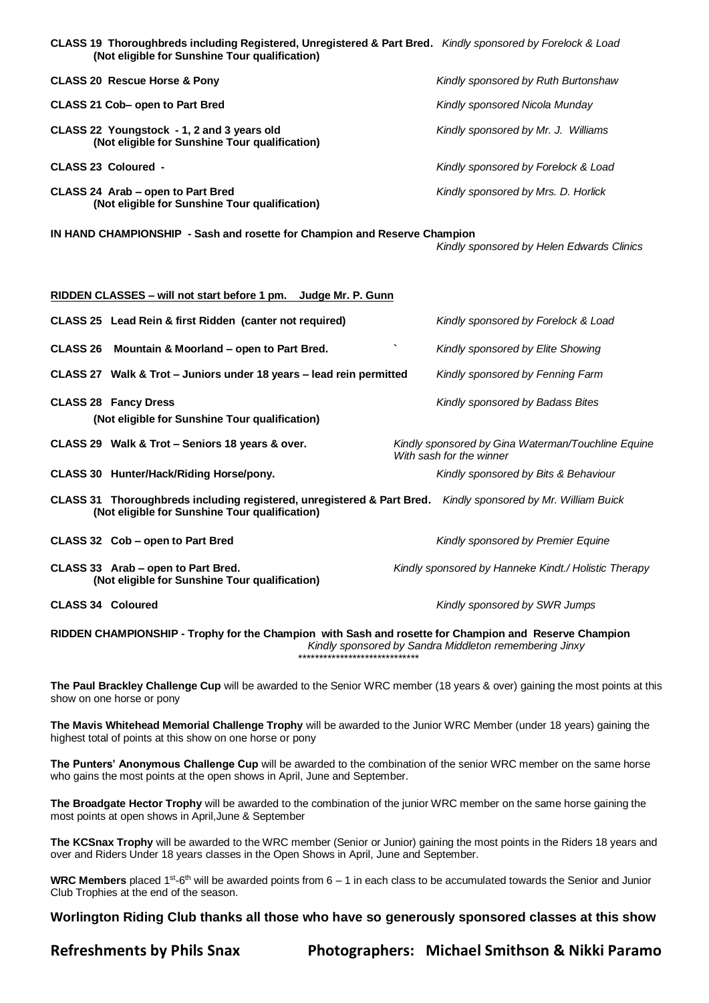| CLASS 19 Thoroughbreds including Registered, Unregistered & Part Bred. Kindly sponsored by Forelock & Load<br>(Not eligible for Sunshine Tour qualification) |                                     |
|--------------------------------------------------------------------------------------------------------------------------------------------------------------|-------------------------------------|
| <b>CLASS 20 Rescue Horse &amp; Pony</b>                                                                                                                      | Kindly sponsored by Ruth Burtonshaw |
| CLASS 21 Cob- open to Part Bred                                                                                                                              | Kindly sponsored Nicola Munday      |
| CLASS 22 Youngstock - 1, 2 and 3 years old<br>(Not eligible for Sunshine Tour qualification)                                                                 | Kindly sponsored by Mr. J. Williams |
| <b>CLASS 23 Coloured -</b>                                                                                                                                   | Kindly sponsored by Forelock & Load |
| CLASS 24 Arab – open to Part Bred<br>(Not eligible for Sunshine Tour qualification)                                                                          | Kindly sponsored by Mrs. D. Horlick |

**IN HAND CHAMPIONSHIP - Sash and rosette for Champion and Reserve Champion** 

*Kindly sponsored by Helen Edwards Clinics*

| RIDDEN CLASSES – will not start before 1 pm. Judge Mr. P. Gunn |                                                                                                                                                                |  |                                                                                |  |  |  |
|----------------------------------------------------------------|----------------------------------------------------------------------------------------------------------------------------------------------------------------|--|--------------------------------------------------------------------------------|--|--|--|
|                                                                | CLASS 25 Lead Rein & first Ridden (canter not required)                                                                                                        |  | Kindly sponsored by Forelock & Load                                            |  |  |  |
|                                                                | CLASS 26 Mountain & Moorland – open to Part Bred.                                                                                                              |  | Kindly sponsored by Elite Showing                                              |  |  |  |
|                                                                | CLASS 27 Walk & Trot – Juniors under 18 years – lead rein permitted                                                                                            |  | Kindly sponsored by Fenning Farm                                               |  |  |  |
|                                                                | <b>CLASS 28 Fancy Dress</b><br>(Not eligible for Sunshine Tour qualification)                                                                                  |  | Kindly sponsored by Badass Bites                                               |  |  |  |
|                                                                | CLASS 29 Walk & Trot – Seniors 18 years & over.                                                                                                                |  | Kindly sponsored by Gina Waterman/Touchline Equine<br>With sash for the winner |  |  |  |
|                                                                | CLASS 30 Hunter/Hack/Riding Horse/pony.                                                                                                                        |  | Kindly sponsored by Bits & Behaviour                                           |  |  |  |
|                                                                | CLASS 31 Thoroughbreds including registered, unregistered & Part Bred. Kindly sponsored by Mr. William Buick<br>(Not eligible for Sunshine Tour qualification) |  |                                                                                |  |  |  |
|                                                                | CLASS 32 Cob – open to Part Bred                                                                                                                               |  | Kindly sponsored by Premier Equine                                             |  |  |  |
|                                                                | CLASS 33 Arab – open to Part Bred.<br>(Not eligible for Sunshine Tour qualification)                                                                           |  | Kindly sponsored by Hanneke Kindt./ Holistic Therapy                           |  |  |  |
| <b>CLASS 34 Coloured</b>                                       |                                                                                                                                                                |  | Kindly sponsored by SWR Jumps                                                  |  |  |  |

**RIDDEN CHAMPIONSHIP - Trophy for the Champion with Sash and rosette for Champion and Reserve Champion** *Kindly sponsored by Sandra Middleton remembering Jinxy* \*\*\*\*\*\*\*\*\*\*\*\*\*\*\*\*\*\*\*\*\*\*\*\*\*\*\*\*\*

**The Paul Brackley Challenge Cup** will be awarded to the Senior WRC member (18 years & over) gaining the most points at this show on one horse or pony

**The Mavis Whitehead Memorial Challenge Trophy** will be awarded to the Junior WRC Member (under 18 years) gaining the highest total of points at this show on one horse or pony

**The Punters' Anonymous Challenge Cup** will be awarded to the combination of the senior WRC member on the same horse who gains the most points at the open shows in April, June and September.

**The Broadgate Hector Trophy** will be awarded to the combination of the junior WRC member on the same horse gaining the most points at open shows in April,June & September

**The KCSnax Trophy** will be awarded to the WRC member (Senior or Junior) gaining the most points in the Riders 18 years and over and Riders Under 18 years classes in the Open Shows in April, June and September.

WRC Members placed 1<sup>st</sup>-6<sup>th</sup> will be awarded points from 6 – 1 in each class to be accumulated towards the Senior and Junior Club Trophies at the end of the season.

**Worlington Riding Club thanks all those who have so generously sponsored classes at this show**

**Refreshments by Phils Snax Photographers: Michael Smithson & Nikki Paramo**